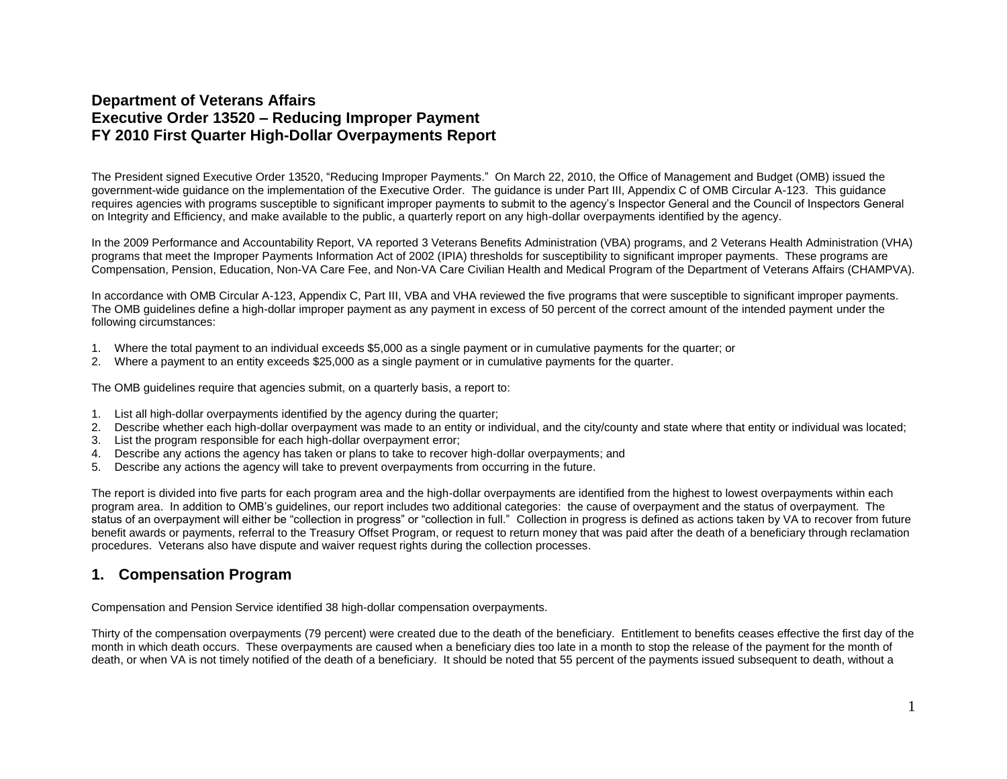## **Department of Veterans Affairs Executive Order 13520 – Reducing Improper Payment FY 2010 First Quarter High-Dollar Overpayments Report**

The President signed Executive Order 13520, "Reducing Improper Payments." On March 22, 2010, the Office of Management and Budget (OMB) issued the government-wide guidance on the implementation of the Executive Order. The guidance is under Part III, Appendix C of OMB Circular A-123. This guidance requires agencies with programs susceptible to significant improper payments to submit to the agency's Inspector General and the Council of Inspectors General on Integrity and Efficiency, and make available to the public, a quarterly report on any high-dollar overpayments identified by the agency.

In the 2009 Performance and Accountability Report, VA reported 3 Veterans Benefits Administration (VBA) programs, and 2 Veterans Health Administration (VHA) programs that meet the Improper Payments Information Act of 2002 (IPIA) thresholds for susceptibility to significant improper payments. These programs are Compensation, Pension, Education, Non-VA Care Fee, and Non-VA Care Civilian Health and Medical Program of the Department of Veterans Affairs (CHAMPVA).

In accordance with OMB Circular A-123, Appendix C, Part III, VBA and VHA reviewed the five programs that were susceptible to significant improper payments. The OMB guidelines define a high-dollar improper payment as any payment in excess of 50 percent of the correct amount of the intended payment under the following circumstances:

- 1. Where the total payment to an individual exceeds \$5,000 as a single payment or in cumulative payments for the quarter; or
- 2. Where a payment to an entity exceeds \$25,000 as a single payment or in cumulative payments for the quarter.

The OMB guidelines require that agencies submit, on a quarterly basis, a report to:

- 1. List all high-dollar overpayments identified by the agency during the quarter;
- 2. Describe whether each high-dollar overpayment was made to an entity or individual, and the city/county and state where that entity or individual was located;
- 3. List the program responsible for each high-dollar overpayment error;
- 4. Describe any actions the agency has taken or plans to take to recover high-dollar overpayments; and
- 5. Describe any actions the agency will take to prevent overpayments from occurring in the future.

The report is divided into five parts for each program area and the high-dollar overpayments are identified from the highest to lowest overpayments within each program area. In addition to OMB's guidelines, our report includes two additional categories: the cause of overpayment and the status of overpayment. The status of an overpayment will either be "collection in progress" or "collection in full." Collection in progress is defined as actions taken by VA to recover from future benefit awards or payments, referral to the Treasury Offset Program, or request to return money that was paid after the death of a beneficiary through reclamation procedures. Veterans also have dispute and waiver request rights during the collection processes.

#### **1. Compensation Program**

Compensation and Pension Service identified 38 high-dollar compensation overpayments.

Thirty of the compensation overpayments (79 percent) were created due to the death of the beneficiary. Entitlement to benefits ceases effective the first day of the month in which death occurs. These overpayments are caused when a beneficiary dies too late in a month to stop the release of the payment for the month of death, or when VA is not timely notified of the death of a beneficiary. It should be noted that 55 percent of the payments issued subsequent to death, without a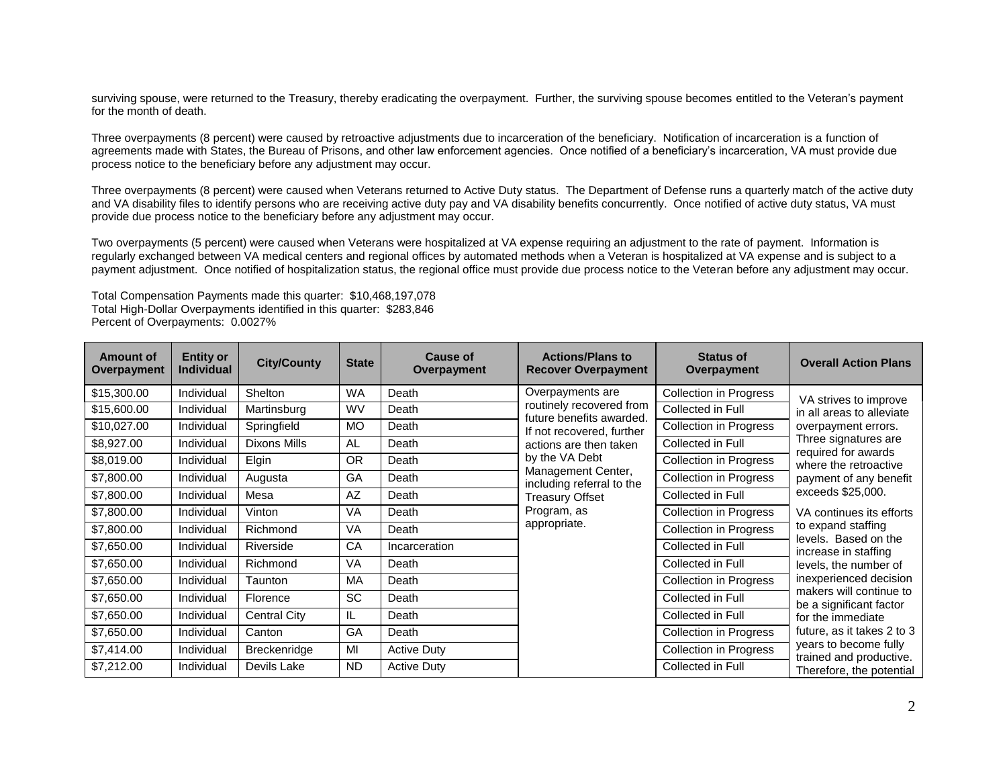surviving spouse, were returned to the Treasury, thereby eradicating the overpayment. Further, the surviving spouse becomes entitled to the Veteran's payment for the month of death.

Three overpayments (8 percent) were caused by retroactive adjustments due to incarceration of the beneficiary. Notification of incarceration is a function of agreements made with States, the Bureau of Prisons, and other law enforcement agencies. Once notified of a beneficiary's incarceration, VA must provide due process notice to the beneficiary before any adjustment may occur.

Three overpayments (8 percent) were caused when Veterans returned to Active Duty status. The Department of Defense runs a quarterly match of the active duty and VA disability files to identify persons who are receiving active duty pay and VA disability benefits concurrently. Once notified of active duty status, VA must provide due process notice to the beneficiary before any adjustment may occur.

Two overpayments (5 percent) were caused when Veterans were hospitalized at VA expense requiring an adjustment to the rate of payment. Information is regularly exchanged between VA medical centers and regional offices by automated methods when a Veteran is hospitalized at VA expense and is subject to a payment adjustment. Once notified of hospitalization status, the regional office must provide due process notice to the Veteran before any adjustment may occur.

Total Compensation Payments made this quarter: \$10,468,197,078 Total High-Dollar Overpayments identified in this quarter: \$283,846 Percent of Overpayments: 0.0027%

| <b>Amount of</b><br>Overpayment | <b>Entity or</b><br><b>Individual</b> | <b>City/County</b>  | <b>State</b> | <b>Cause of</b><br>Overpayment | <b>Actions/Plans to</b><br><b>Recover Overpayment</b> | <b>Status of</b><br>Overpayment | <b>Overall Action Plans</b>                        |
|---------------------------------|---------------------------------------|---------------------|--------------|--------------------------------|-------------------------------------------------------|---------------------------------|----------------------------------------------------|
| \$15,300.00                     | Individual                            | Shelton             | <b>WA</b>    | Death                          | Overpayments are                                      | <b>Collection in Progress</b>   | VA strives to improve                              |
| \$15,600.00                     | Individual                            | Martinsburg         | <b>WV</b>    | Death                          | routinely recovered from<br>future benefits awarded.  | Collected in Full               | in all areas to alleviate                          |
| \$10,027.00                     | Individual                            | Springfield         | <b>MO</b>    | Death                          | If not recovered, further                             | <b>Collection in Progress</b>   | overpayment errors.                                |
| \$8,927.00                      | Individual                            | Dixons Mills        | <b>AL</b>    | Death                          | actions are then taken                                | Collected in Full               | Three signatures are<br>required for awards        |
| \$8,019.00                      | Individual                            | Elgin               | <b>OR</b>    | Death                          | by the VA Debt                                        | <b>Collection in Progress</b>   | where the retroactive                              |
| \$7,800.00                      | Individual                            | Augusta             | GA           | Death                          | Management Center,<br>including referral to the       | <b>Collection in Progress</b>   | payment of any benefit                             |
| \$7,800.00                      | Individual                            | Mesa                | AZ           | Death                          | <b>Treasury Offset</b>                                | Collected in Full               | exceeds \$25,000.                                  |
| \$7,800.00                      | Individual                            | Vinton              | <b>VA</b>    | Death                          | Program, as                                           | <b>Collection in Progress</b>   | VA continues its efforts                           |
| \$7,800.00                      | Individual                            | Richmond            | VA           | Death                          | appropriate.                                          | <b>Collection in Progress</b>   | to expand staffing<br>levels. Based on the         |
| \$7,650.00                      | Individual                            | Riverside           | CA           | Incarceration                  |                                                       | Collected in Full               | increase in staffing                               |
| \$7,650.00                      | Individual                            | Richmond            | VA           | Death                          |                                                       | Collected in Full               | levels, the number of                              |
| \$7,650.00                      | Individual                            | Taunton             | МA           | Death                          |                                                       | <b>Collection in Progress</b>   | inexperienced decision                             |
| \$7,650.00                      | Individual                            | Florence            | <b>SC</b>    | Death                          |                                                       | Collected in Full               | makers will continue to<br>be a significant factor |
| \$7,650.00                      | Individual                            | <b>Central City</b> | IL           | Death                          |                                                       | Collected in Full               | for the immediate                                  |
| \$7,650.00                      | Individual                            | Canton              | GA           | Death                          |                                                       | <b>Collection in Progress</b>   | future, as it takes 2 to 3                         |
| \$7,414.00                      | Individual                            | Breckenridge        | MI           | <b>Active Duty</b>             |                                                       | <b>Collection in Progress</b>   | years to become fully<br>trained and productive.   |
| \$7,212.00                      | Individual                            | Devils Lake         | <b>ND</b>    | <b>Active Duty</b>             |                                                       | Collected in Full               | Therefore, the potential                           |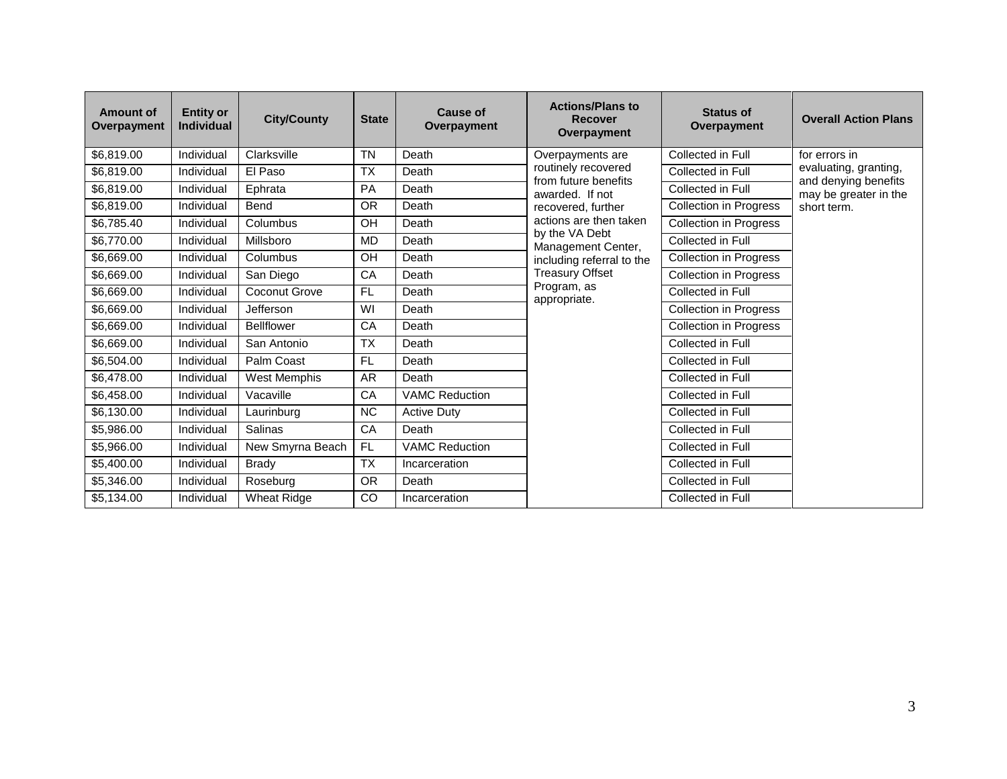| <b>Amount of</b><br>Overpayment | <b>Entity or</b><br><b>Individual</b> | <b>City/County</b> | <b>State</b> | <b>Cause of</b><br>Overpayment | <b>Actions/Plans to</b><br><b>Recover</b><br>Overpayment | <b>Status of</b><br>Overpayment | <b>Overall Action Plans</b>                   |
|---------------------------------|---------------------------------------|--------------------|--------------|--------------------------------|----------------------------------------------------------|---------------------------------|-----------------------------------------------|
| \$6,819.00                      | Individual                            | Clarksville        | <b>TN</b>    | Death                          | Overpayments are                                         | Collected in Full               | for errors in                                 |
| \$6,819.00                      | Individual                            | El Paso            | <b>TX</b>    | Death                          | routinely recovered<br>from future benefits              | Collected in Full               | evaluating, granting,<br>and denying benefits |
| \$6,819.00                      | Individual                            | Ephrata            | <b>PA</b>    | Death                          | awarded. If not                                          | Collected in Full               | may be greater in the                         |
| \$6,819.00                      | Individual                            | Bend               | <b>OR</b>    | Death                          | recovered, further                                       | <b>Collection in Progress</b>   | short term.                                   |
| \$6,785.40                      | Individual                            | Columbus           | OH           | Death                          | actions are then taken                                   | <b>Collection in Progress</b>   |                                               |
| \$6,770.00                      | Individual                            | Millsboro          | <b>MD</b>    | Death                          | by the VA Debt<br>Management Center,                     | Collected in Full               |                                               |
| \$6,669.00                      | Individual                            | Columbus           | OH           | Death                          | including referral to the                                | <b>Collection in Progress</b>   |                                               |
| \$6,669.00                      | Individual                            | San Diego          | CA           | Death                          | <b>Treasury Offset</b>                                   | <b>Collection in Progress</b>   |                                               |
| \$6,669.00                      | Individual                            | Coconut Grove      | <b>FL</b>    | Death                          | Program, as<br>appropriate.                              | Collected in Full               |                                               |
| \$6,669.00                      | Individual                            | Jefferson          | WI           | Death                          |                                                          | <b>Collection in Progress</b>   |                                               |
| \$6,669.00                      | Individual                            | <b>Bellflower</b>  | CA           | Death                          |                                                          | <b>Collection in Progress</b>   |                                               |
| \$6,669.00                      | Individual                            | San Antonio        | <b>TX</b>    | Death                          |                                                          | Collected in Full               |                                               |
| \$6,504.00                      | Individual                            | Palm Coast         | <b>FL</b>    | Death                          |                                                          | Collected in Full               |                                               |
| \$6,478.00                      | Individual                            | West Memphis       | <b>AR</b>    | Death                          |                                                          | Collected in Full               |                                               |
| \$6,458.00                      | Individual                            | Vacaville          | CA           | <b>VAMC Reduction</b>          |                                                          | Collected in Full               |                                               |
| \$6,130.00                      | Individual                            | Laurinburg         | <b>NC</b>    | <b>Active Duty</b>             |                                                          | Collected in Full               |                                               |
| \$5,986.00                      | Individual                            | Salinas            | CA           | Death                          |                                                          | Collected in Full               |                                               |
| \$5,966.00                      | Individual                            | New Smyrna Beach   | <b>FL</b>    | <b>VAMC Reduction</b>          |                                                          | Collected in Full               |                                               |
| \$5,400.00                      | Individual                            | <b>Brady</b>       | <b>TX</b>    | Incarceration                  |                                                          | Collected in Full               |                                               |
| \$5,346.00                      | Individual                            | Roseburg           | <b>OR</b>    | Death                          |                                                          | Collected in Full               |                                               |
| \$5,134.00                      | Individual                            | <b>Wheat Ridge</b> | CO           | Incarceration                  |                                                          | Collected in Full               |                                               |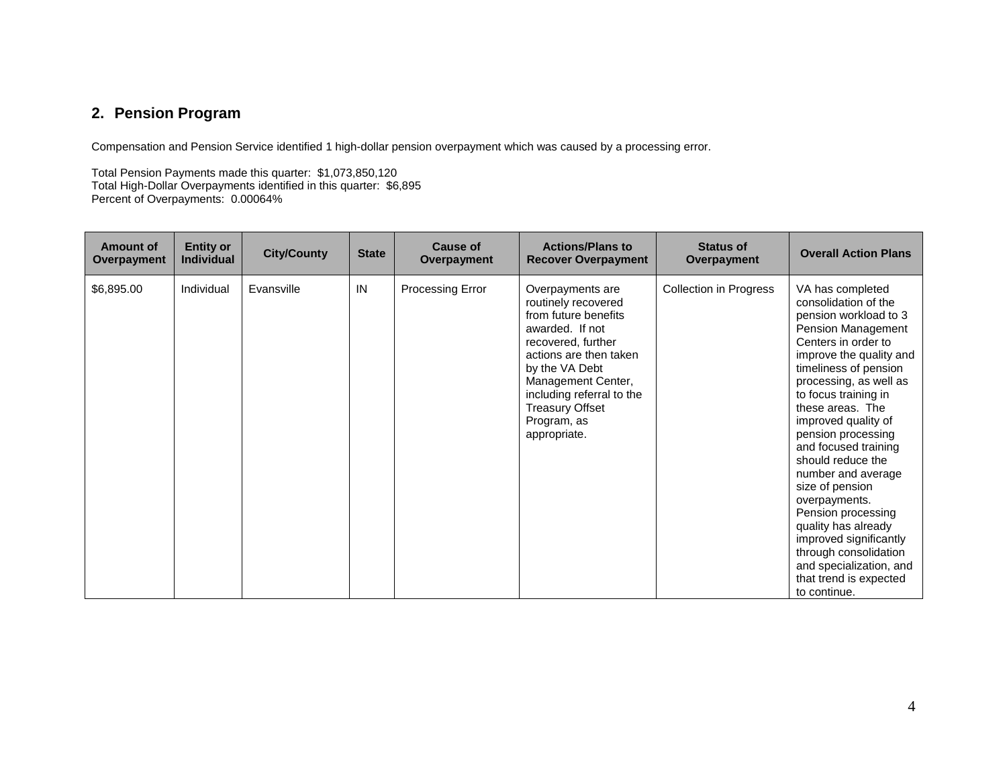# **2. Pension Program**

Compensation and Pension Service identified 1 high-dollar pension overpayment which was caused by a processing error.

Total Pension Payments made this quarter: \$1,073,850,120 Total High-Dollar Overpayments identified in this quarter: \$6,895 Percent of Overpayments: 0.00064%

| <b>Amount of</b><br>Overpayment | <b>Entity or</b><br><b>Individual</b> | <b>City/County</b> | <b>State</b> | Cause of<br>Overpayment | <b>Actions/Plans to</b><br><b>Recover Overpayment</b>                                                                                                                                                                                                            | <b>Status of</b><br>Overpayment | <b>Overall Action Plans</b>                                                                                                                                                                                                                                                                                                                                                                                                                                                                                                                                       |
|---------------------------------|---------------------------------------|--------------------|--------------|-------------------------|------------------------------------------------------------------------------------------------------------------------------------------------------------------------------------------------------------------------------------------------------------------|---------------------------------|-------------------------------------------------------------------------------------------------------------------------------------------------------------------------------------------------------------------------------------------------------------------------------------------------------------------------------------------------------------------------------------------------------------------------------------------------------------------------------------------------------------------------------------------------------------------|
| \$6,895.00                      | Individual                            | Evansville         | IN           | Processing Error        | Overpayments are<br>routinely recovered<br>from future benefits<br>awarded. If not<br>recovered, further<br>actions are then taken<br>by the VA Debt<br>Management Center,<br>including referral to the<br><b>Treasury Offset</b><br>Program, as<br>appropriate. | <b>Collection in Progress</b>   | VA has completed<br>consolidation of the<br>pension workload to 3<br>Pension Management<br>Centers in order to<br>improve the quality and<br>timeliness of pension<br>processing, as well as<br>to focus training in<br>these areas. The<br>improved quality of<br>pension processing<br>and focused training<br>should reduce the<br>number and average<br>size of pension<br>overpayments.<br>Pension processing<br>quality has already<br>improved significantly<br>through consolidation<br>and specialization, and<br>that trend is expected<br>to continue. |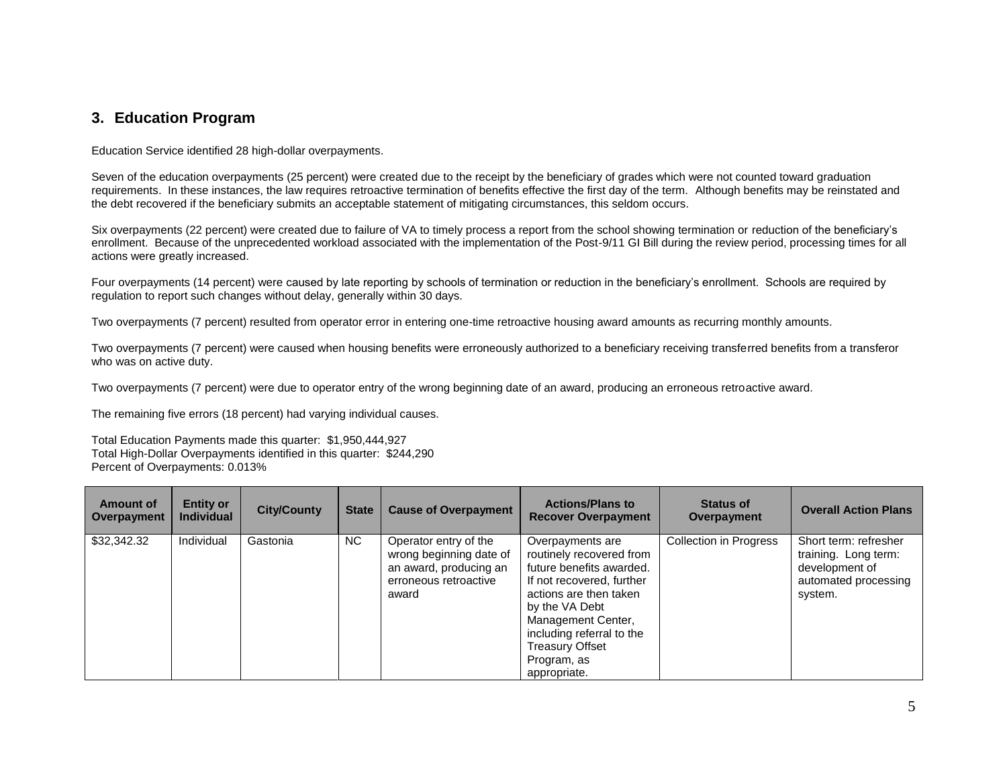## **3. Education Program**

Education Service identified 28 high-dollar overpayments.

Seven of the education overpayments (25 percent) were created due to the receipt by the beneficiary of grades which were not counted toward graduation requirements. In these instances, the law requires retroactive termination of benefits effective the first day of the term. Although benefits may be reinstated and the debt recovered if the beneficiary submits an acceptable statement of mitigating circumstances, this seldom occurs.

Six overpayments (22 percent) were created due to failure of VA to timely process a report from the school showing termination or reduction of the beneficiary's enrollment. Because of the unprecedented workload associated with the implementation of the Post-9/11 GI Bill during the review period, processing times for all actions were greatly increased.

Four overpayments (14 percent) were caused by late reporting by schools of termination or reduction in the beneficiary's enrollment. Schools are required by regulation to report such changes without delay, generally within 30 days.

Two overpayments (7 percent) resulted from operator error in entering one-time retroactive housing award amounts as recurring monthly amounts.

Two overpayments (7 percent) were caused when housing benefits were erroneously authorized to a beneficiary receiving transferred benefits from a transferor who was on active duty.

Two overpayments (7 percent) were due to operator entry of the wrong beginning date of an award, producing an erroneous retroactive award.

The remaining five errors (18 percent) had varying individual causes.

Total Education Payments made this quarter: \$1,950,444,927 Total High-Dollar Overpayments identified in this quarter: \$244,290 Percent of Overpayments: 0.013%

| Amount of<br>Overpayment | <b>Entity or</b><br><b>Individual</b> | <b>City/County</b> | <b>State</b> | <b>Cause of Overpayment</b>                                                                                  | <b>Actions/Plans to</b><br><b>Recover Overpayment</b>                                                                                                                                                                                                         | <b>Status of</b><br>Overpayment | <b>Overall Action Plans</b>                                                                        |
|--------------------------|---------------------------------------|--------------------|--------------|--------------------------------------------------------------------------------------------------------------|---------------------------------------------------------------------------------------------------------------------------------------------------------------------------------------------------------------------------------------------------------------|---------------------------------|----------------------------------------------------------------------------------------------------|
| \$32,342.32              | Individual                            | Gastonia           | NC.          | Operator entry of the<br>wrong beginning date of<br>an award, producing an<br>erroneous retroactive<br>award | Overpayments are<br>routinely recovered from<br>future benefits awarded.<br>If not recovered, further<br>actions are then taken<br>by the VA Debt<br>Management Center,<br>including referral to the<br><b>Treasury Offset</b><br>Program, as<br>appropriate. | <b>Collection in Progress</b>   | Short term: refresher<br>training. Long term:<br>development of<br>automated processing<br>system. |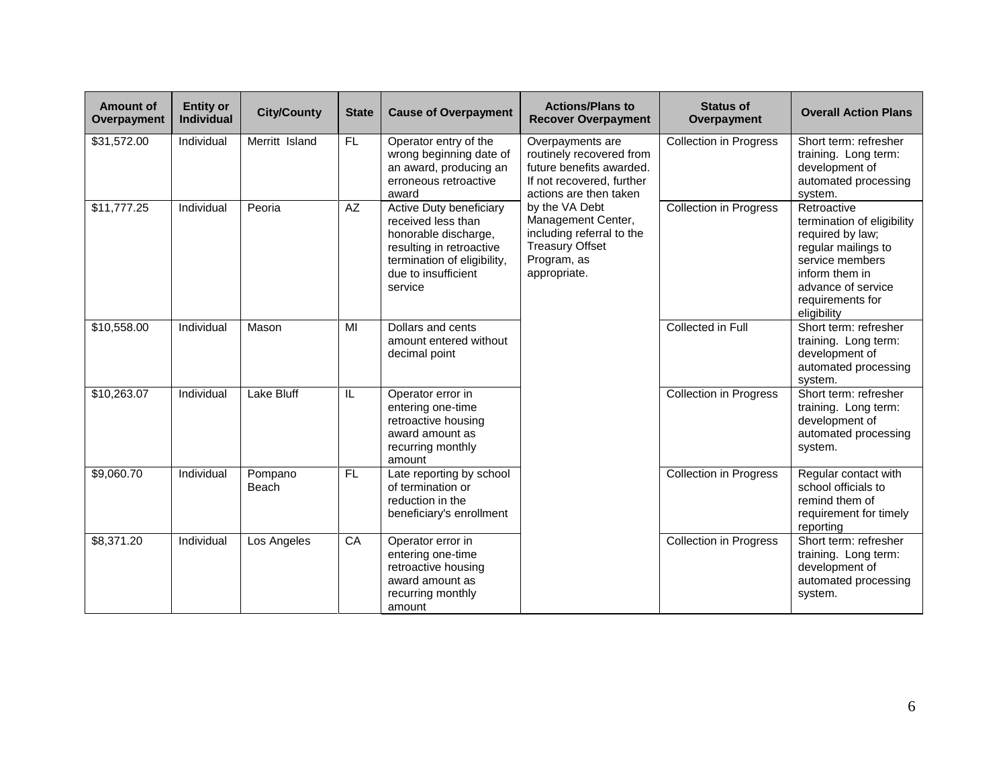| <b>Amount of</b><br>Overpayment | <b>Entity or</b><br><b>Individual</b> | <b>City/County</b> | <b>State</b> | <b>Cause of Overpayment</b>                                                                                                                                        | <b>Actions/Plans to</b><br><b>Recover Overpayment</b>                                                                           | <b>Status of</b><br>Overpayment | <b>Overall Action Plans</b>                                                                                                                                                        |
|---------------------------------|---------------------------------------|--------------------|--------------|--------------------------------------------------------------------------------------------------------------------------------------------------------------------|---------------------------------------------------------------------------------------------------------------------------------|---------------------------------|------------------------------------------------------------------------------------------------------------------------------------------------------------------------------------|
| \$31,572.00                     | Individual                            | Merritt Island     | FL.          | Operator entry of the<br>wrong beginning date of<br>an award, producing an<br>erroneous retroactive<br>award                                                       | Overpayments are<br>routinely recovered from<br>future benefits awarded.<br>If not recovered, further<br>actions are then taken | <b>Collection in Progress</b>   | Short term: refresher<br>training. Long term:<br>development of<br>automated processing<br>system.                                                                                 |
| \$11,777.25                     | Individual                            | Peoria             | AZ           | Active Duty beneficiary<br>received less than<br>honorable discharge,<br>resulting in retroactive<br>termination of eligibility,<br>due to insufficient<br>service | by the VA Debt<br>Management Center,<br>including referral to the<br><b>Treasury Offset</b><br>Program, as<br>appropriate.      | <b>Collection in Progress</b>   | Retroactive<br>termination of eligibility<br>required by law;<br>regular mailings to<br>service members<br>inform them in<br>advance of service<br>requirements for<br>eligibility |
| \$10,558.00                     | Individual                            | Mason              | MI           | Dollars and cents<br>amount entered without<br>decimal point                                                                                                       |                                                                                                                                 | Collected in Full               | Short term: refresher<br>training. Long term:<br>development of<br>automated processing<br>system.                                                                                 |
| \$10,263.07                     | Individual                            | Lake Bluff         | IL           | Operator error in<br>entering one-time<br>retroactive housing<br>award amount as<br>recurring monthly<br>amount                                                    |                                                                                                                                 | <b>Collection in Progress</b>   | Short term: refresher<br>training. Long term:<br>development of<br>automated processing<br>system.                                                                                 |
| \$9,060.70                      | Individual                            | Pompano<br>Beach   | FL.          | Late reporting by school<br>of termination or<br>reduction in the<br>beneficiary's enrollment                                                                      |                                                                                                                                 | Collection in Progress          | Regular contact with<br>school officials to<br>remind them of<br>requirement for timely<br>reporting                                                                               |
| \$8,371.20                      | Individual                            | Los Angeles        | CA           | Operator error in<br>entering one-time<br>retroactive housing<br>award amount as<br>recurring monthly<br>amount                                                    |                                                                                                                                 | <b>Collection in Progress</b>   | Short term: refresher<br>training. Long term:<br>development of<br>automated processing<br>system.                                                                                 |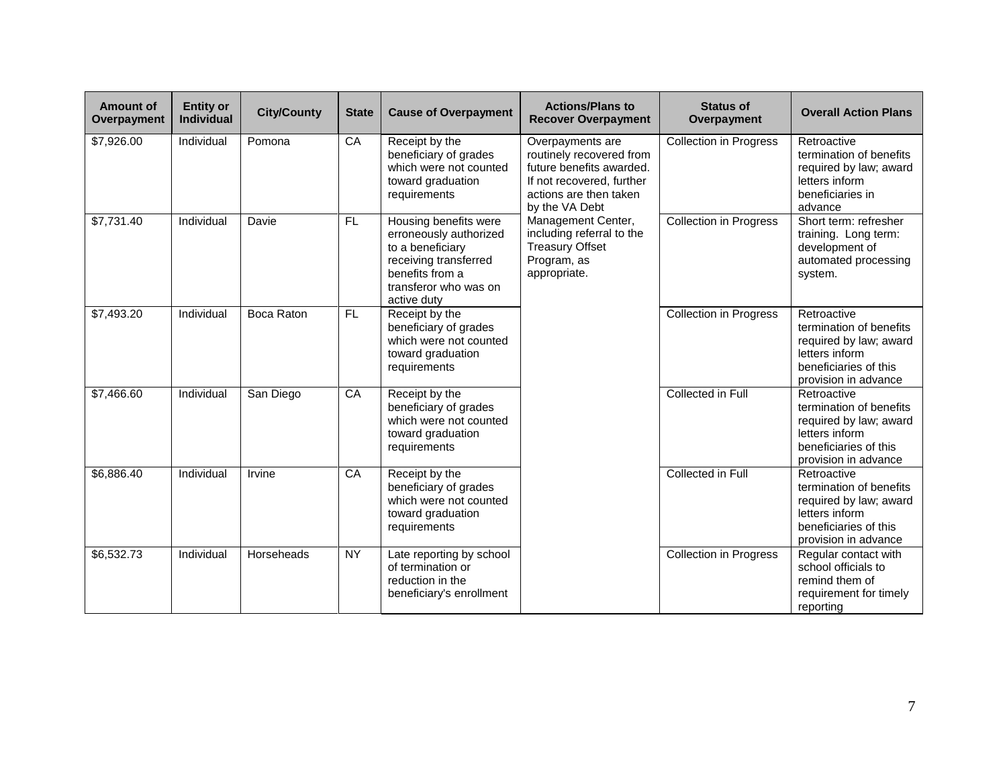| Amount of<br>Overpayment | <b>Entity or</b><br><b>Individual</b> | <b>City/County</b> | <b>State</b> | <b>Cause of Overpayment</b>                                                                                                                             | <b>Actions/Plans to</b><br><b>Recover Overpayment</b>                                                                                             | <b>Status of</b><br>Overpayment | <b>Overall Action Plans</b>                                                                                                         |
|--------------------------|---------------------------------------|--------------------|--------------|---------------------------------------------------------------------------------------------------------------------------------------------------------|---------------------------------------------------------------------------------------------------------------------------------------------------|---------------------------------|-------------------------------------------------------------------------------------------------------------------------------------|
| \$7,926.00               | Individual                            | Pomona             | CA           | Receipt by the<br>beneficiary of grades<br>which were not counted<br>toward graduation<br>requirements                                                  | Overpayments are<br>routinely recovered from<br>future benefits awarded.<br>If not recovered, further<br>actions are then taken<br>by the VA Debt | <b>Collection in Progress</b>   | Retroactive<br>termination of benefits<br>required by law; award<br>letters inform<br>beneficiaries in<br>advance                   |
| \$7,731.40               | Individual                            | Davie              | FL.          | Housing benefits were<br>erroneously authorized<br>to a beneficiary<br>receiving transferred<br>benefits from a<br>transferor who was on<br>active duty | Management Center,<br>including referral to the<br><b>Treasury Offset</b><br>Program, as<br>appropriate.                                          | Collection in Progress          | Short term: refresher<br>training. Long term:<br>development of<br>automated processing<br>system.                                  |
| \$7,493.20               | Individual                            | <b>Boca Raton</b>  | FL           | Receipt by the<br>beneficiary of grades<br>which were not counted<br>toward graduation<br>requirements                                                  |                                                                                                                                                   | <b>Collection in Progress</b>   | Retroactive<br>termination of benefits<br>required by law; award<br>letters inform<br>beneficiaries of this<br>provision in advance |
| \$7,466.60               | Individual                            | San Diego          | CA           | Receipt by the<br>beneficiary of grades<br>which were not counted<br>toward graduation<br>requirements                                                  |                                                                                                                                                   | Collected in Full               | Retroactive<br>termination of benefits<br>required by law; award<br>letters inform<br>beneficiaries of this<br>provision in advance |
| \$6,886.40               | Individual                            | Irvine             | CA           | Receipt by the<br>beneficiary of grades<br>which were not counted<br>toward graduation<br>requirements                                                  |                                                                                                                                                   | Collected in Full               | Retroactive<br>termination of benefits<br>required by law; award<br>letters inform<br>beneficiaries of this<br>provision in advance |
| \$6,532.73               | Individual                            | Horseheads         | <b>NY</b>    | Late reporting by school<br>of termination or<br>reduction in the<br>beneficiary's enrollment                                                           |                                                                                                                                                   | <b>Collection in Progress</b>   | Regular contact with<br>school officials to<br>remind them of<br>requirement for timely<br>reporting                                |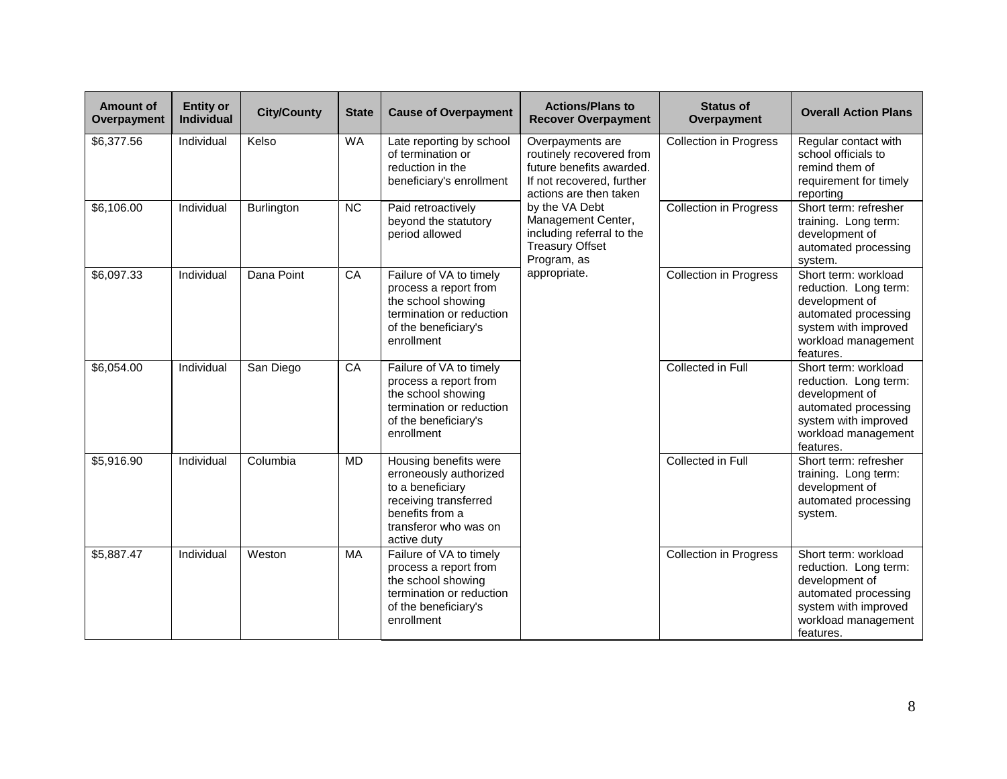| <b>Amount of</b><br>Overpayment | <b>Entity or</b><br>Individual | <b>City/County</b> | <b>State</b> | <b>Cause of Overpayment</b>                                                                                                                             | <b>Actions/Plans to</b><br><b>Recover Overpayment</b>                                                                           | <b>Status of</b><br>Overpayment | <b>Overall Action Plans</b>                                                                                                                         |
|---------------------------------|--------------------------------|--------------------|--------------|---------------------------------------------------------------------------------------------------------------------------------------------------------|---------------------------------------------------------------------------------------------------------------------------------|---------------------------------|-----------------------------------------------------------------------------------------------------------------------------------------------------|
| \$6,377.56                      | Individual                     | Kelso              | WA           | Late reporting by school<br>of termination or<br>reduction in the<br>beneficiary's enrollment                                                           | Overpayments are<br>routinely recovered from<br>future benefits awarded.<br>If not recovered, further<br>actions are then taken | <b>Collection in Progress</b>   | Regular contact with<br>school officials to<br>remind them of<br>requirement for timely<br>reporting                                                |
| \$6,106.00                      | Individual                     | Burlington         | <b>NC</b>    | Paid retroactively<br>beyond the statutory<br>period allowed                                                                                            | by the VA Debt<br>Management Center,<br>including referral to the<br><b>Treasury Offset</b><br>Program, as                      | <b>Collection in Progress</b>   | Short term: refresher<br>training. Long term:<br>development of<br>automated processing<br>system.                                                  |
| \$6,097.33                      | Individual                     | Dana Point         | CA           | Failure of VA to timely<br>process a report from<br>the school showing<br>termination or reduction<br>of the beneficiary's<br>enrollment                | appropriate.                                                                                                                    | <b>Collection in Progress</b>   | Short term: workload<br>reduction. Long term:<br>development of<br>automated processing<br>system with improved<br>workload management<br>features. |
| \$6,054.00                      | Individual                     | San Diego          | CA           | Failure of VA to timely<br>process a report from<br>the school showing<br>termination or reduction<br>of the beneficiary's<br>enrollment                |                                                                                                                                 | Collected in Full               | Short term: workload<br>reduction. Long term:<br>development of<br>automated processing<br>system with improved<br>workload management<br>features. |
| \$5,916.90                      | Individual                     | Columbia           | <b>MD</b>    | Housing benefits were<br>erroneously authorized<br>to a beneficiary<br>receiving transferred<br>benefits from a<br>transferor who was on<br>active duty |                                                                                                                                 | Collected in Full               | Short term: refresher<br>training. Long term:<br>development of<br>automated processing<br>system.                                                  |
| \$5,887.47                      | Individual                     | Weston             | MA           | Failure of VA to timely<br>process a report from<br>the school showing<br>termination or reduction<br>of the beneficiary's<br>enrollment                |                                                                                                                                 | <b>Collection in Progress</b>   | Short term: workload<br>reduction. Long term:<br>development of<br>automated processing<br>system with improved<br>workload management<br>features. |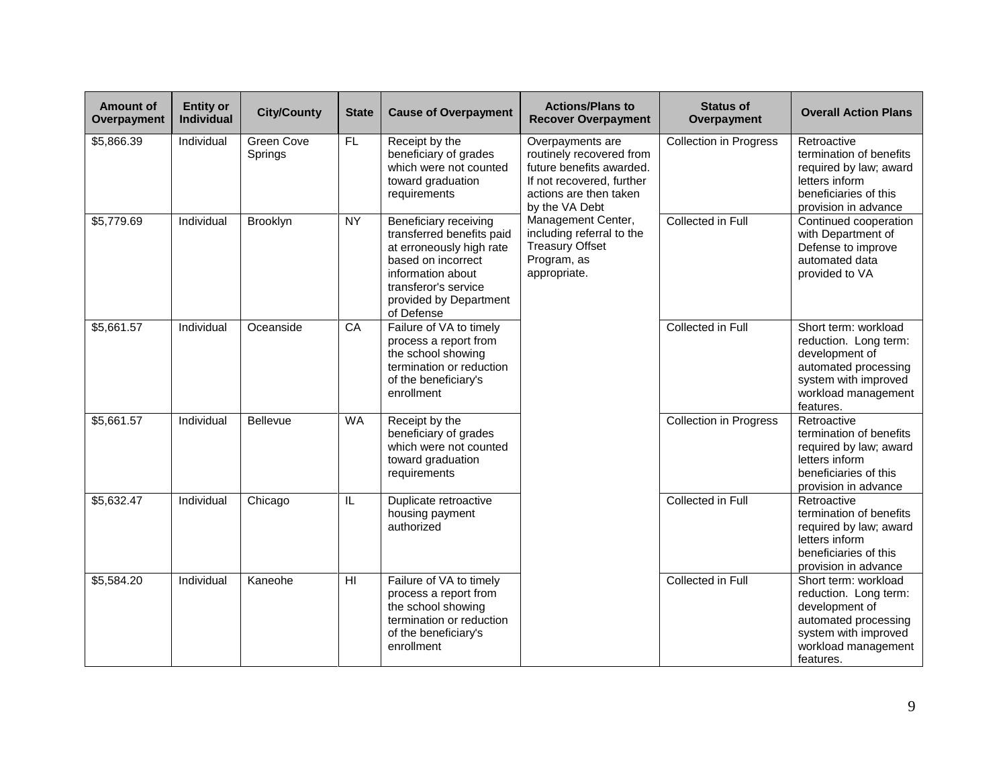| <b>Amount of</b><br>Overpayment | <b>Entity or</b><br><b>Individual</b> | <b>City/County</b>    | <b>State</b>            | <b>Cause of Overpayment</b>                                                                                                                                                               | <b>Actions/Plans to</b><br><b>Recover Overpayment</b>                                                                                             | <b>Status of</b><br>Overpayment | <b>Overall Action Plans</b>                                                                                                                         |
|---------------------------------|---------------------------------------|-----------------------|-------------------------|-------------------------------------------------------------------------------------------------------------------------------------------------------------------------------------------|---------------------------------------------------------------------------------------------------------------------------------------------------|---------------------------------|-----------------------------------------------------------------------------------------------------------------------------------------------------|
| \$5,866.39                      | Individual                            | Green Cove<br>Springs | $F$ L                   | Receipt by the<br>beneficiary of grades<br>which were not counted<br>toward graduation<br>requirements                                                                                    | Overpayments are<br>routinely recovered from<br>future benefits awarded.<br>If not recovered, further<br>actions are then taken<br>by the VA Debt | <b>Collection in Progress</b>   | Retroactive<br>termination of benefits<br>required by law; award<br>letters inform<br>beneficiaries of this<br>provision in advance                 |
| \$5,779.69                      | Individual                            | Brooklyn              | <b>NY</b>               | Beneficiary receiving<br>transferred benefits paid<br>at erroneously high rate<br>based on incorrect<br>information about<br>transferor's service<br>provided by Department<br>of Defense | Management Center,<br>including referral to the<br><b>Treasury Offset</b><br>Program, as<br>appropriate.                                          | Collected in Full               | Continued cooperation<br>with Department of<br>Defense to improve<br>automated data<br>provided to VA                                               |
| \$5,661.57                      | Individual                            | Oceanside             | CA                      | Failure of VA to timely<br>process a report from<br>the school showing<br>termination or reduction<br>of the beneficiary's<br>enrollment                                                  |                                                                                                                                                   | Collected in Full               | Short term: workload<br>reduction. Long term:<br>development of<br>automated processing<br>system with improved<br>workload management<br>features. |
| \$5,661.57                      | Individual                            | Bellevue              | <b>WA</b>               | Receipt by the<br>beneficiary of grades<br>which were not counted<br>toward graduation<br>requirements                                                                                    |                                                                                                                                                   | Collection in Progress          | Retroactive<br>termination of benefits<br>required by law; award<br>letters inform<br>beneficiaries of this<br>provision in advance                 |
| \$5,632.47                      | Individual                            | Chicago               | $\overline{\mathsf{L}}$ | Duplicate retroactive<br>housing payment<br>authorized                                                                                                                                    |                                                                                                                                                   | Collected in Full               | Retroactive<br>termination of benefits<br>required by law; award<br>letters inform<br>beneficiaries of this<br>provision in advance                 |
| \$5,584.20                      | Individual                            | Kaneohe               | $\overline{\mathbf{H}}$ | Failure of VA to timely<br>process a report from<br>the school showing<br>termination or reduction<br>of the beneficiary's<br>enrollment                                                  |                                                                                                                                                   | Collected in Full               | Short term: workload<br>reduction. Long term:<br>development of<br>automated processing<br>system with improved<br>workload management<br>features. |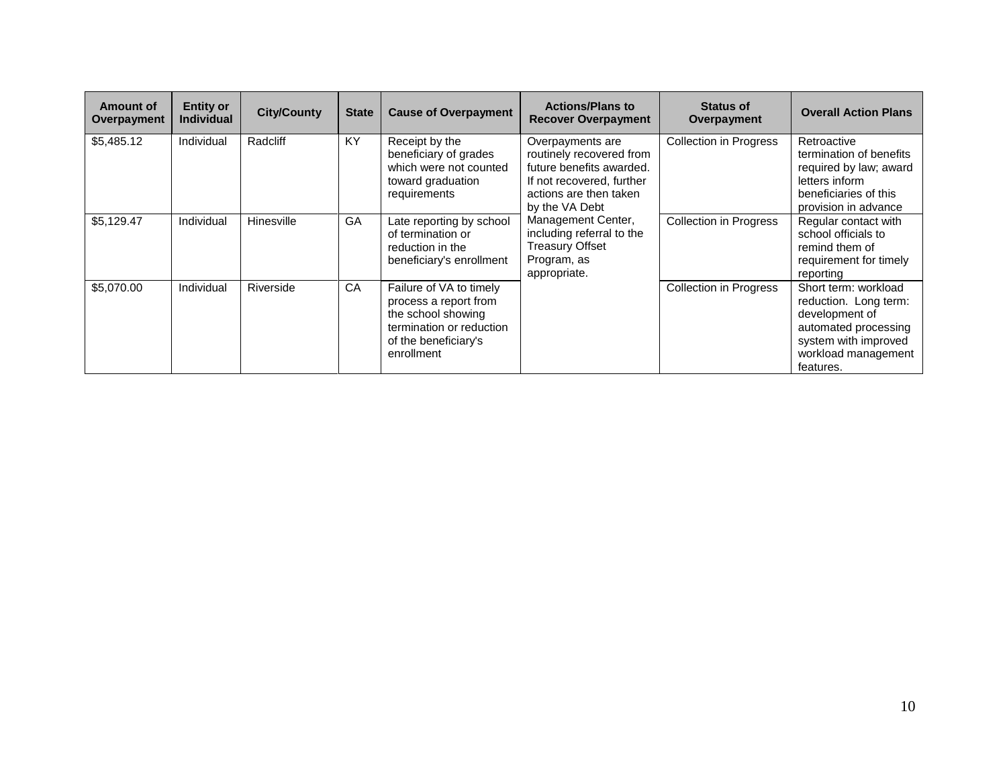| Amount of<br>Overpayment | <b>Entity or</b><br><b>Individual</b> | <b>City/County</b> | <b>State</b> | <b>Cause of Overpayment</b>                                                                                                              | <b>Actions/Plans to</b><br><b>Recover Overpayment</b>                                                                                             | <b>Status of</b><br>Overpayment | <b>Overall Action Plans</b>                                                                                                                         |
|--------------------------|---------------------------------------|--------------------|--------------|------------------------------------------------------------------------------------------------------------------------------------------|---------------------------------------------------------------------------------------------------------------------------------------------------|---------------------------------|-----------------------------------------------------------------------------------------------------------------------------------------------------|
| \$5,485.12               | Individual                            | Radcliff           | <b>KY</b>    | Receipt by the<br>beneficiary of grades<br>which were not counted<br>toward graduation<br>requirements                                   | Overpayments are<br>routinely recovered from<br>future benefits awarded.<br>If not recovered, further<br>actions are then taken<br>by the VA Debt | <b>Collection in Progress</b>   | Retroactive<br>termination of benefits<br>required by law; award<br>letters inform<br>beneficiaries of this<br>provision in advance                 |
| \$5,129.47               | Individual                            | Hinesville         | <b>GA</b>    | Late reporting by school<br>of termination or<br>reduction in the<br>beneficiary's enrollment                                            | Management Center,<br>including referral to the<br><b>Treasury Offset</b><br>Program, as<br>appropriate.                                          | <b>Collection in Progress</b>   | Regular contact with<br>school officials to<br>remind them of<br>requirement for timely<br>reporting                                                |
| \$5,070.00               | Individual                            | Riverside          | CA           | Failure of VA to timely<br>process a report from<br>the school showing<br>termination or reduction<br>of the beneficiary's<br>enrollment |                                                                                                                                                   | <b>Collection in Progress</b>   | Short term: workload<br>reduction. Long term:<br>development of<br>automated processing<br>system with improved<br>workload management<br>features. |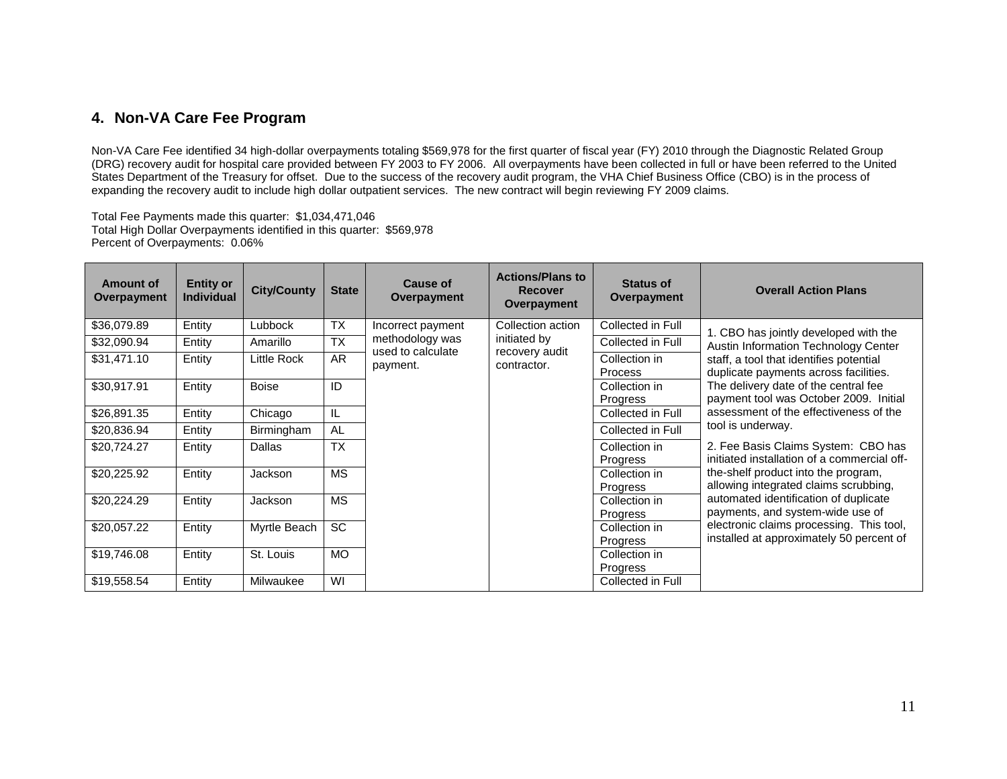#### **4. Non-VA Care Fee Program**

Non-VA Care Fee identified 34 high-dollar overpayments totaling \$569,978 for the first quarter of fiscal year (FY) 2010 through the Diagnostic Related Group (DRG) recovery audit for hospital care provided between FY 2003 to FY 2006. All overpayments have been collected in full or have been referred to the United States Department of the Treasury for offset. Due to the success of the recovery audit program, the VHA Chief Business Office (CBO) is in the process of expanding the recovery audit to include high dollar outpatient services. The new contract will begin reviewing FY 2009 claims.

Total Fee Payments made this quarter: \$1,034,471,046 Total High Dollar Overpayments identified in this quarter: \$569,978 Percent of Overpayments: 0.06%

| <b>Amount of</b><br>Overpayment | <b>Entity or</b><br><b>Individual</b> | <b>City/County</b> | <b>State</b> | Cause of<br>Overpayment       | <b>Actions/Plans to</b><br><b>Recover</b><br>Overpayment | <b>Status of</b><br>Overpayment  | <b>Overall Action Plans</b>                                                          |
|---------------------------------|---------------------------------------|--------------------|--------------|-------------------------------|----------------------------------------------------------|----------------------------------|--------------------------------------------------------------------------------------|
| \$36,079.89                     | Entity                                | Lubbock            | <b>TX</b>    | Incorrect payment             | Collection action                                        | Collected in Full                | 1. CBO has jointly developed with the                                                |
| \$32,090.94                     | Entity                                | Amarillo           | <b>TX</b>    | methodology was               | initiated by                                             | Collected in Full                | <b>Austin Information Technology Center</b>                                          |
| \$31,471.10                     | Entity                                | Little Rock        | AR           | used to calculate<br>payment. | recovery audit<br>contractor.                            | Collection in<br><b>Process</b>  | staff, a tool that identifies potential<br>duplicate payments across facilities.     |
| \$30,917.91                     | Entity                                | <b>Boise</b>       | ID           |                               |                                                          | Collection in<br>Progress        | The delivery date of the central fee<br>payment tool was October 2009. Initial       |
| \$26,891.35                     | Entity                                | Chicago            | IL           |                               |                                                          | Collected in Full                | assessment of the effectiveness of the                                               |
| \$20,836.94                     | Entity                                | Birmingham         | AL           |                               |                                                          | Collected in Full                | tool is underway.                                                                    |
| \$20,724.27                     | Entity                                | Dallas             | <b>TX</b>    |                               |                                                          | Collection in<br><b>Progress</b> | 2. Fee Basis Claims System: CBO has<br>initiated installation of a commercial off-   |
| \$20,225.92                     | Entity                                | Jackson            | <b>MS</b>    |                               |                                                          | Collection in<br><b>Progress</b> | the-shelf product into the program,<br>allowing integrated claims scrubbing,         |
| \$20,224.29                     | Entity                                | Jackson            | <b>MS</b>    |                               |                                                          | Collection in<br>Progress        | automated identification of duplicate<br>payments, and system-wide use of            |
| \$20,057.22                     | Entity                                | Myrtle Beach       | <b>SC</b>    |                               |                                                          | Collection in<br><b>Progress</b> | electronic claims processing. This tool,<br>installed at approximately 50 percent of |
| \$19,746.08                     | Entity                                | St. Louis          | <b>MO</b>    |                               |                                                          | Collection in<br>Progress        |                                                                                      |
| \$19,558.54                     | Entity                                | Milwaukee          | WI           |                               |                                                          | Collected in Full                |                                                                                      |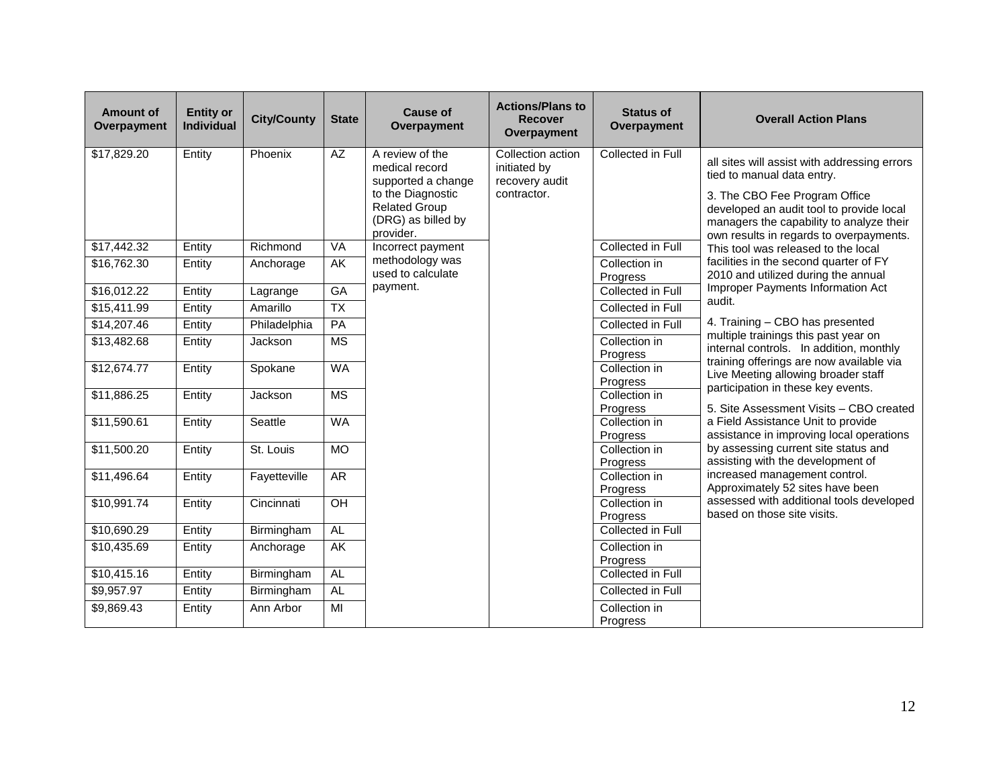| <b>Amount of</b><br>Overpayment | <b>Entity or</b><br><b>Individual</b> | <b>City/County</b> | <b>State</b>           | <b>Cause of</b><br>Overpayment                                               | <b>Actions/Plans to</b><br><b>Recover</b><br>Overpayment | <b>Status of</b><br>Overpayment | <b>Overall Action Plans</b>                                                                                                                                      |
|---------------------------------|---------------------------------------|--------------------|------------------------|------------------------------------------------------------------------------|----------------------------------------------------------|---------------------------------|------------------------------------------------------------------------------------------------------------------------------------------------------------------|
| \$17,829.20                     | Entity                                | Phoenix            | AZ                     | A review of the<br>medical record<br>supported a change                      | Collection action<br>initiated by<br>recovery audit      | Collected in Full               | all sites will assist with addressing errors<br>tied to manual data entry.                                                                                       |
|                                 |                                       |                    |                        | to the Diagnostic<br><b>Related Group</b><br>(DRG) as billed by<br>provider. | contractor.                                              |                                 | 3. The CBO Fee Program Office<br>developed an audit tool to provide local<br>managers the capability to analyze their<br>own results in regards to overpayments. |
| \$17,442.32                     | Entity                                | Richmond           | VA                     | Incorrect payment                                                            |                                                          | Collected in Full               | This tool was released to the local                                                                                                                              |
| \$16,762.30                     | Entity                                | Anchorage          | AK                     | methodology was<br>used to calculate                                         |                                                          | Collection in<br>Progress       | facilities in the second quarter of FY<br>2010 and utilized during the annual                                                                                    |
| \$16,012.22                     | Entity                                | Lagrange           | GA                     | payment.                                                                     |                                                          | Collected in Full               | Improper Payments Information Act<br>audit.                                                                                                                      |
| \$15,411.99                     | Entity                                | Amarillo           | <b>TX</b>              |                                                                              |                                                          | Collected in Full               |                                                                                                                                                                  |
| \$14,207.46                     | Entity                                | Philadelphia       | PA                     |                                                                              |                                                          | Collected in Full               | 4. Training - CBO has presented                                                                                                                                  |
| \$13,482.68                     | Entity                                | Jackson            | $\overline{\text{MS}}$ |                                                                              |                                                          | Collection in<br>Progress       | multiple trainings this past year on<br>internal controls. In addition, monthly<br>training offerings are now available via                                      |
| \$12,674.77                     | Entity                                | Spokane            | <b>WA</b>              |                                                                              |                                                          | Collection in<br>Progress       | Live Meeting allowing broader staff<br>participation in these key events.                                                                                        |
| \$11,886.25                     | Entity                                | Jackson            | <b>MS</b>              |                                                                              |                                                          | Collection in<br>Progress       | 5. Site Assessment Visits - CBO created                                                                                                                          |
| \$11,590.61                     | Entity                                | Seattle            | <b>WA</b>              |                                                                              |                                                          | Collection in<br>Progress       | a Field Assistance Unit to provide<br>assistance in improving local operations                                                                                   |
| \$11,500.20                     | Entity                                | St. Louis          | <b>MO</b>              |                                                                              |                                                          | Collection in<br>Progress       | by assessing current site status and<br>assisting with the development of                                                                                        |
| \$11,496.64                     | Entity                                | Fayetteville       | AR                     |                                                                              |                                                          | Collection in                   | increased management control.                                                                                                                                    |
|                                 |                                       |                    |                        |                                                                              |                                                          | Progress                        | Approximately 52 sites have been<br>assessed with additional tools developed                                                                                     |
| \$10,991.74                     | Entity                                | Cincinnati         | OH                     |                                                                              |                                                          | Collection in<br>Progress       | based on those site visits.                                                                                                                                      |
| \$10,690.29                     | Entity                                | Birmingham         | AL                     |                                                                              |                                                          | Collected in Full               |                                                                                                                                                                  |
| \$10,435.69                     | Entity                                | Anchorage          | AK                     |                                                                              |                                                          | Collection in                   |                                                                                                                                                                  |
|                                 |                                       |                    |                        |                                                                              |                                                          | Progress                        |                                                                                                                                                                  |
| $$10,4\overline{15.16}$         | Entity                                | Birmingham         | AL                     |                                                                              |                                                          | Collected in Full               |                                                                                                                                                                  |
| \$9,957.97                      | Entity                                | Birmingham         | AL                     |                                                                              |                                                          | Collected in Full               |                                                                                                                                                                  |
| \$9,869.43                      | Entity                                | Ann Arbor          | MI                     |                                                                              |                                                          | Collection in<br>Progress       |                                                                                                                                                                  |